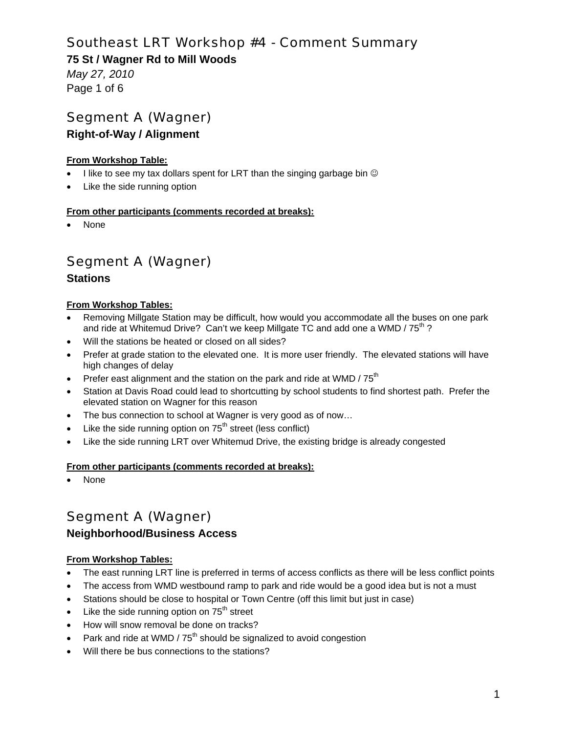### **75 St / Wagner Rd to Mill Woods**

*May 27, 2010*  Page 1 of 6

# Segment A (Wagner)

### **Right-of-Way / Alignment**

#### **From Workshop Table:**

- I like to see my tax dollars spent for LRT than the singing garbage bin  $\circledcirc$
- Like the side running option

#### **From other participants (comments recorded at breaks):**

None

# Segment A (Wagner)

### **Stations**

#### **From Workshop Tables:**

- Removing Millgate Station may be difficult, how would you accommodate all the buses on one park and ride at Whitemud Drive? Can't we keep Millgate TC and add one a WMD /  $75<sup>th</sup>$ ?
- Will the stations be heated or closed on all sides?
- Prefer at grade station to the elevated one. It is more user friendly. The elevated stations will have high changes of delay
- Prefer east alignment and the station on the park and ride at WMD /  $75<sup>th</sup>$
- Station at Davis Road could lead to shortcutting by school students to find shortest path. Prefer the elevated station on Wagner for this reason
- The bus connection to school at Wagner is very good as of now…
- Like the side running option on  $75<sup>th</sup>$  street (less conflict)
- Like the side running LRT over Whitemud Drive, the existing bridge is already congested

#### **From other participants (comments recorded at breaks):**

None

# Segment A (Wagner)

### **Neighborhood/Business Access**

#### **From Workshop Tables:**

- The east running LRT line is preferred in terms of access conflicts as there will be less conflict points
- The access from WMD westbound ramp to park and ride would be a good idea but is not a must
- Stations should be close to hospital or Town Centre (off this limit but just in case)
- $\bullet$  Like the side running option on  $75<sup>th</sup>$  street
- How will snow removal be done on tracks?
- Park and ride at WMD /  $75<sup>th</sup>$  should be signalized to avoid congestion
- Will there be bus connections to the stations?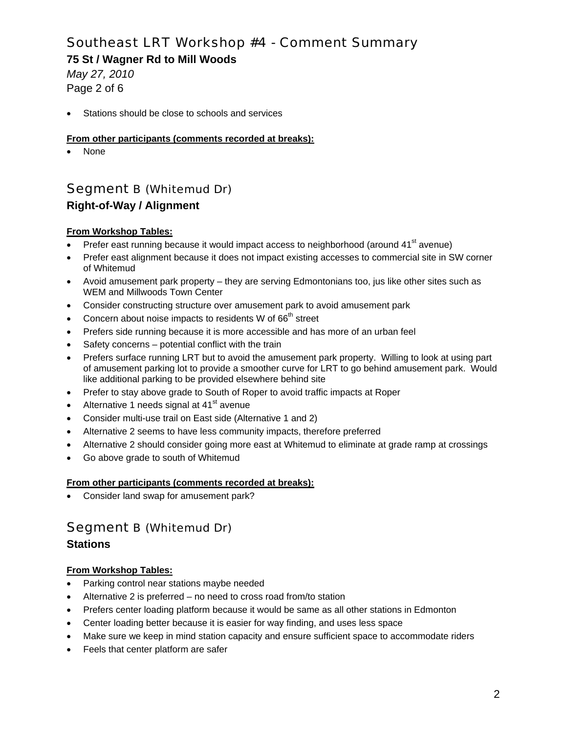**75 St / Wagner Rd to Mill Woods** 

*May 27, 2010*  Page 2 of 6

Stations should be close to schools and services

#### **From other participants (comments recorded at breaks):**

None

## Segment B (Whitemud Dr)

## **Right-of-Way / Alignment**

#### **From Workshop Tables:**

- Prefer east running because it would impact access to neighborhood (around 41<sup>st</sup> avenue)
- Prefer east alignment because it does not impact existing accesses to commercial site in SW corner of Whitemud
- Avoid amusement park property they are serving Edmontonians too, jus like other sites such as WEM and Millwoods Town Center
- Consider constructing structure over amusement park to avoid amusement park
- Concern about noise impacts to residents W of  $66<sup>th</sup>$  street
- Prefers side running because it is more accessible and has more of an urban feel
- Safety concerns potential conflict with the train
- Prefers surface running LRT but to avoid the amusement park property. Willing to look at using part of amusement parking lot to provide a smoother curve for LRT to go behind amusement park. Would like additional parking to be provided elsewhere behind site
- Prefer to stay above grade to South of Roper to avoid traffic impacts at Roper
- Alternative 1 needs signal at 41<sup>st</sup> avenue
- Consider multi-use trail on East side (Alternative 1 and 2)
- Alternative 2 seems to have less community impacts, therefore preferred
- Alternative 2 should consider going more east at Whitemud to eliminate at grade ramp at crossings
- Go above grade to south of Whitemud

#### **From other participants (comments recorded at breaks):**

Consider land swap for amusement park?

## Segment B (Whitemud Dr)

### **Stations**

#### **From Workshop Tables:**

- Parking control near stations maybe needed
- Alternative 2 is preferred no need to cross road from/to station
- Prefers center loading platform because it would be same as all other stations in Edmonton
- Center loading better because it is easier for way finding, and uses less space
- Make sure we keep in mind station capacity and ensure sufficient space to accommodate riders
- Feels that center platform are safer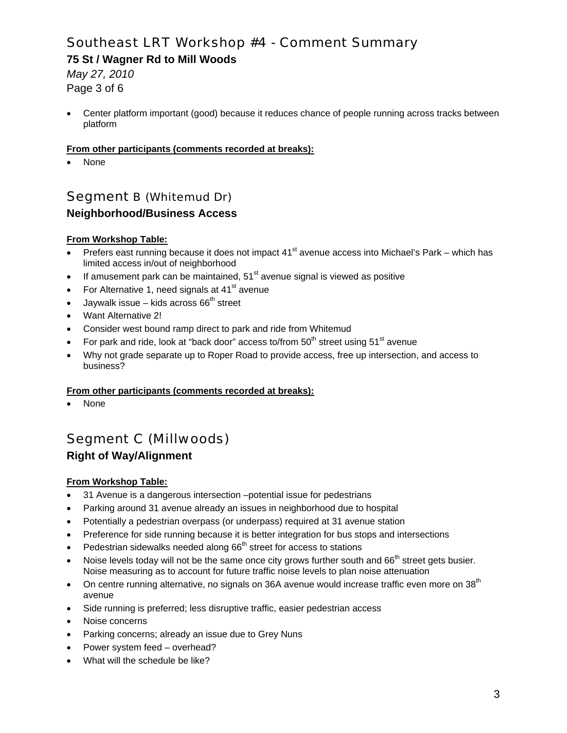**75 St / Wagner Rd to Mill Woods** 

*May 27, 2010*  Page 3 of 6

 Center platform important (good) because it reduces chance of people running across tracks between platform

#### **From other participants (comments recorded at breaks):**

None

## Segment B (Whitemud Dr) **Neighborhood/Business Access**

#### **From Workshop Table:**

- Prefers east running because it does not impact  $41<sup>st</sup>$  avenue access into Michael's Park which has limited access in/out of neighborhood
- If amusement park can be maintained,  $51<sup>st</sup>$  avenue signal is viewed as positive
- For Alternative 1, need signals at  $41<sup>st</sup>$  avenue
- Jaywalk issue kids across  $66<sup>th</sup>$  street
- Want Alternative 2!
- Consider west bound ramp direct to park and ride from Whitemud
- For park and ride, look at "back door" access to/from  $50<sup>th</sup>$  street using  $51<sup>st</sup>$  avenue
- Why not grade separate up to Roper Road to provide access, free up intersection, and access to business?

#### **From other participants (comments recorded at breaks):**

None

## Segment C (Millwoods) **Right of Way/Alignment**

#### **From Workshop Table:**

- 31 Avenue is a dangerous intersection –potential issue for pedestrians
- Parking around 31 avenue already an issues in neighborhood due to hospital
- Potentially a pedestrian overpass (or underpass) required at 31 avenue station
- Preference for side running because it is better integration for bus stops and intersections
- Pedestrian sidewalks needed along  $66<sup>th</sup>$  street for access to stations
- Noise levels today will not be the same once city grows further south and 66<sup>th</sup> street gets busier. Noise measuring as to account for future traffic noise levels to plan noise attenuation
- On centre running alternative, no signals on 36A avenue would increase traffic even more on 38<sup>th</sup> avenue
- Side running is preferred; less disruptive traffic, easier pedestrian access
- Noise concerns
- Parking concerns; already an issue due to Grey Nuns
- Power system feed overhead?
- What will the schedule be like?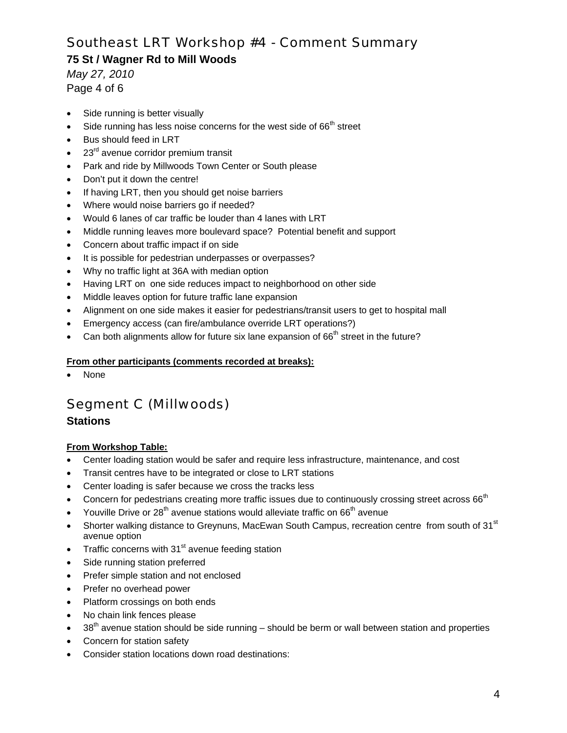### **75 St / Wagner Rd to Mill Woods**

*May 27, 2010*  Page 4 of 6

- Side running is better visually
- Side running has less noise concerns for the west side of  $66<sup>th</sup>$  street
- Bus should feed in LRT
- 23<sup>rd</sup> avenue corridor premium transit
- Park and ride by Millwoods Town Center or South please
- Don't put it down the centre!
- If having LRT, then you should get noise barriers
- Where would noise barriers go if needed?
- Would 6 lanes of car traffic be louder than 4 lanes with LRT
- Middle running leaves more boulevard space? Potential benefit and support
- Concern about traffic impact if on side
- It is possible for pedestrian underpasses or overpasses?
- Why no traffic light at 36A with median option
- Having LRT on one side reduces impact to neighborhood on other side
- Middle leaves option for future traffic lane expansion
- Alignment on one side makes it easier for pedestrians/transit users to get to hospital mall
- Emergency access (can fire/ambulance override LRT operations?)
- Can both alignments allow for future six lane expansion of  $66<sup>th</sup>$  street in the future?

#### **From other participants (comments recorded at breaks):**

None

## Segment C (Millwoods)

### **Stations**

#### **From Workshop Table:**

- Center loading station would be safer and require less infrastructure, maintenance, and cost
- Transit centres have to be integrated or close to LRT stations
- Center loading is safer because we cross the tracks less
- Concern for pedestrians creating more traffic issues due to continuously crossing street across  $66<sup>th</sup>$
- Youville Drive or  $28<sup>th</sup>$  avenue stations would alleviate traffic on  $66<sup>th</sup>$  avenue
- Shorter walking distance to Greynuns, MacEwan South Campus, recreation centre from south of 31<sup>st</sup> avenue option
- Traffic concerns with  $31<sup>st</sup>$  avenue feeding station
- Side running station preferred
- Prefer simple station and not enclosed
- Prefer no overhead power
- Platform crossings on both ends
- No chain link fences please
- 38<sup>th</sup> avenue station should be side running should be berm or wall between station and properties
- Concern for station safety
- Consider station locations down road destinations: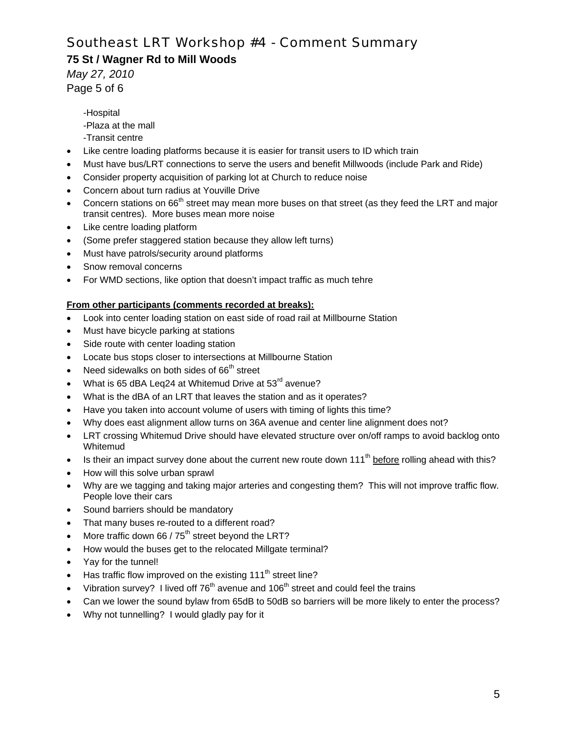### **75 St / Wagner Rd to Mill Woods**

*May 27, 2010*  Page 5 of 6

> -Hospital -Plaza at the mall -Transit centre

- Like centre loading platforms because it is easier for transit users to ID which train
- Must have bus/LRT connections to serve the users and benefit Millwoods (include Park and Ride)
- Consider property acquisition of parking lot at Church to reduce noise
- Concern about turn radius at Youville Drive
- Concern stations on 66<sup>th</sup> street may mean more buses on that street (as they feed the LRT and major transit centres). More buses mean more noise
- Like centre loading platform
- (Some prefer staggered station because they allow left turns)
- Must have patrols/security around platforms
- Snow removal concerns
- For WMD sections, like option that doesn't impact traffic as much tehre

#### **From other participants (comments recorded at breaks):**

- Look into center loading station on east side of road rail at Millbourne Station
- Must have bicycle parking at stations
- Side route with center loading station
- Locate bus stops closer to intersections at Millbourne Station
- Need sidewalks on both sides of  $66<sup>th</sup>$  street
- What is 65 dBA Leq24 at Whitemud Drive at 53<sup>rd</sup> avenue?
- What is the dBA of an LRT that leaves the station and as it operates?
- Have you taken into account volume of users with timing of lights this time?
- Why does east alignment allow turns on 36A avenue and center line alignment does not?
- LRT crossing Whitemud Drive should have elevated structure over on/off ramps to avoid backlog onto Whitemud
- Is their an impact survey done about the current new route down 111<sup>th</sup> before rolling ahead with this?
- How will this solve urban sprawl
- Why are we tagging and taking major arteries and congesting them? This will not improve traffic flow. People love their cars
- Sound barriers should be mandatory
- That many buses re-routed to a different road?
- More traffic down 66 /  $75<sup>th</sup>$  street beyond the LRT?
- How would the buses get to the relocated Millgate terminal?
- Yay for the tunnel!
- Has traffic flow improved on the existing 111<sup>th</sup> street line?
- Vibration survey? I lived off  $76<sup>th</sup>$  avenue and  $106<sup>th</sup>$  street and could feel the trains
- Can we lower the sound bylaw from 65dB to 50dB so barriers will be more likely to enter the process?
- Why not tunnelling? I would gladly pay for it